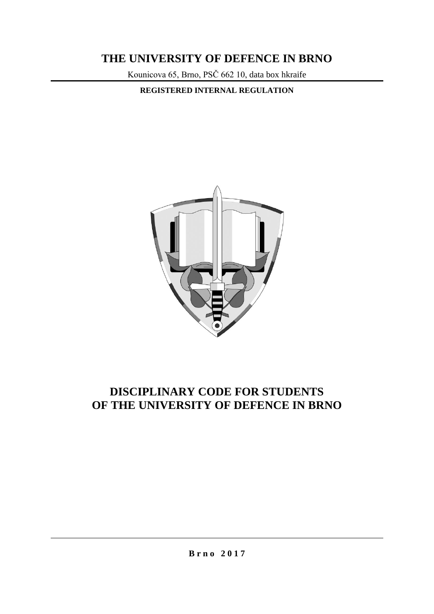# **THE UNIVERSITY OF DEFENCE IN BRNO**

Kounicova 65, Brno, PSČ 662 10, data box hkraife

**REGISTERED INTERNAL REGULATION**



# **DISCIPLINARY CODE FOR STUDENTS OF THE UNIVERSITY OF DEFENCE IN BRNO**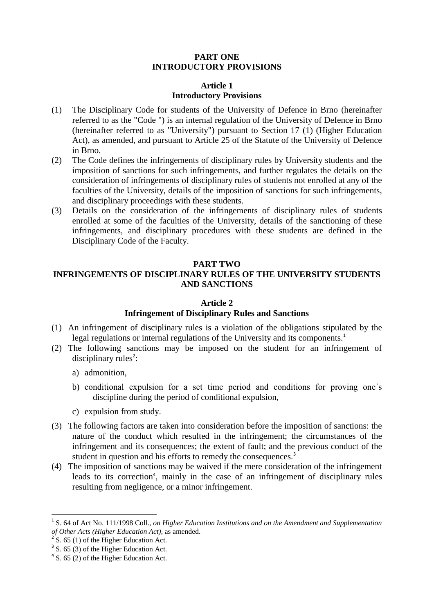## **PART ONE INTRODUCTORY PROVISIONS**

### **Article 1 Introductory Provisions**

- (1) The Disciplinary Code for students of the University of Defence in Brno (hereinafter referred to as the "Code ") is an internal regulation of the University of Defence in Brno (hereinafter referred to as "University") pursuant to Section 17 (1) (Higher Education Act), as amended, and pursuant to Article 25 of the Statute of the University of Defence in Brno.
- (2) The Code defines the infringements of disciplinary rules by University students and the imposition of sanctions for such infringements, and further regulates the details on the consideration of infringements of disciplinary rules of students not enrolled at any of the faculties of the University, details of the imposition of sanctions for such infringements, and disciplinary proceedings with these students.
- (3) Details on the consideration of the infringements of disciplinary rules of students enrolled at some of the faculties of the University, details of the sanctioning of these infringements, and disciplinary procedures with these students are defined in the Disciplinary Code of the Faculty.

#### **PART TWO**

## **INFRINGEMENTS OF DISCIPLINARY RULES OF THE UNIVERSITY STUDENTS AND SANCTIONS**

#### **Article 2**

#### **Infringement of Disciplinary Rules and Sanctions**

- (1) An infringement of disciplinary rules is a violation of the obligations stipulated by the legal regulations or internal regulations of the University and its components.<sup>1</sup>
- (2) The following sanctions may be imposed on the student for an infringement of disciplinary rules<sup>2</sup>:
	- a) admonition,
	- b) conditional expulsion for a set time period and conditions for proving one´s discipline during the period of conditional expulsion,
	- c) expulsion from study.
- (3) The following factors are taken into consideration before the imposition of sanctions: the nature of the conduct which resulted in the infringement; the circumstances of the infringement and its consequences; the extent of fault; and the previous conduct of the student in question and his efforts to remedy the consequences.<sup>3</sup>
- (4) The imposition of sanctions may be waived if the mere consideration of the infringement leads to its correction<sup>4</sup>, mainly in the case of an infringement of disciplinary rules resulting from negligence, or a minor infringement.

 $\overline{a}$ 

<sup>&</sup>lt;sup>1</sup> S. 64 of Act No. 111/1998 Coll., *on Higher Education Institutions and on the Amendment and Supplementation of Other Acts (Higher Education Act)*, as amended.

 $2^{2}$  S. 65 (1) of the Higher Education Act.

<sup>&</sup>lt;sup>3</sup> S. 65 (3) of the Higher Education Act.

<sup>&</sup>lt;sup>4</sup> S. 65 (2) of the Higher Education Act.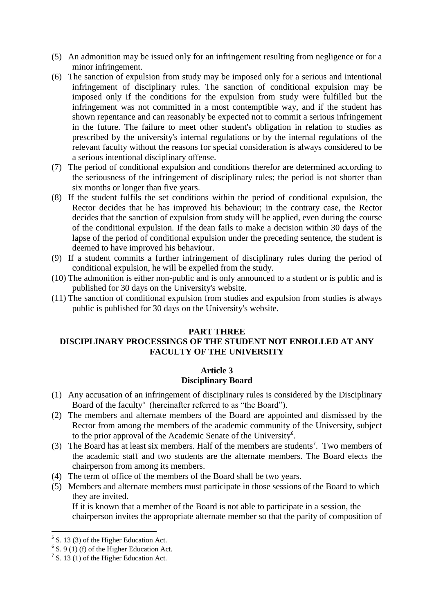- (5) An admonition may be issued only for an infringement resulting from negligence or for a minor infringement.
- (6) The sanction of expulsion from study may be imposed only for a serious and intentional infringement of disciplinary rules. The sanction of conditional expulsion may be imposed only if the conditions for the expulsion from study were fulfilled but the infringement was not committed in a most contemptible way, and if the student has shown repentance and can reasonably be expected not to commit a serious infringement in the future. The failure to meet other student's obligation in relation to studies as prescribed by the university's internal regulations or by the internal regulations of the relevant faculty without the reasons for special consideration is always considered to be a serious intentional disciplinary offense.
- (7) The period of conditional expulsion and conditions therefor are determined according to the seriousness of the infringement of disciplinary rules; the period is not shorter than six months or longer than five years.
- (8) If the student fulfils the set conditions within the period of conditional expulsion, the Rector decides that he has improved his behaviour; in the contrary case, the Rector decides that the sanction of expulsion from study will be applied, even during the course of the conditional expulsion. If the dean fails to make a decision within 30 days of the lapse of the period of conditional expulsion under the preceding sentence, the student is deemed to have improved his behaviour.
- (9) If a student commits a further infringement of disciplinary rules during the period of conditional expulsion, he will be expelled from the study.
- (10) The admonition is either non-public and is only announced to a student or is public and is published for 30 days on the University's website.
- (11) The sanction of conditional expulsion from studies and expulsion from studies is always public is published for 30 days on the University's website.

#### **PART THREE**

# **DISCIPLINARY PROCESSINGS OF THE STUDENT NOT ENROLLED AT ANY FACULTY OF THE UNIVERSITY**

## **Article 3 Disciplinary Board**

- (1) Any accusation of an infringement of disciplinary rules is considered by the Disciplinary Board of the faculty<sup>5</sup> (hereinafter referred to as "the Board").
- (2) The members and alternate members of the Board are appointed and dismissed by the Rector from among the members of the academic community of the University, subject to the prior approval of the Academic Senate of the University<sup>6</sup>.
- (3) The Board has at least six members. Half of the members are students<sup>7</sup>. Two members of the academic staff and two students are the alternate members. The Board elects the chairperson from among its members.
- (4) The term of office of the members of the Board shall be two years.
- (5) Members and alternate members must participate in those sessions of the Board to which they are invited.

If it is known that a member of the Board is not able to participate in a session, the chairperson invites the appropriate alternate member so that the parity of composition of

**.** 

 $5$  S. 13 (3) of the Higher Education Act.

 $6$  S. 9 (1) (f) of the Higher Education Act.

 $<sup>7</sup>$  S. 13 (1) of the Higher Education Act.</sup>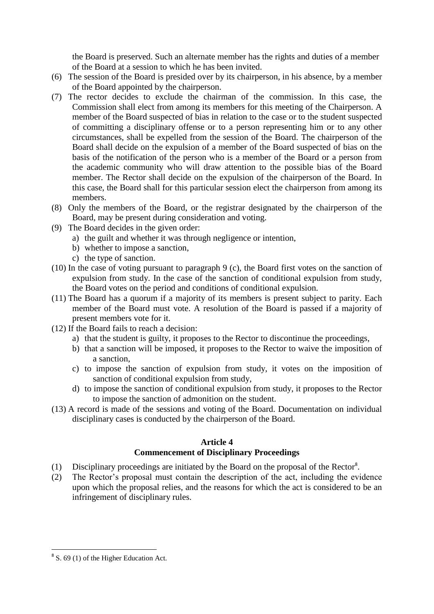the Board is preserved. Such an alternate member has the rights and duties of a member of the Board at a session to which he has been invited.

- (6) The session of the Board is presided over by its chairperson, in his absence, by a member of the Board appointed by the chairperson.
- (7) The rector decides to exclude the chairman of the commission. In this case, the Commission shall elect from among its members for this meeting of the Chairperson. A member of the Board suspected of bias in relation to the case or to the student suspected of committing a disciplinary offense or to a person representing him or to any other circumstances, shall be expelled from the session of the Board. The chairperson of the Board shall decide on the expulsion of a member of the Board suspected of bias on the basis of the notification of the person who is a member of the Board or a person from the academic community who will draw attention to the possible bias of the Board member. The Rector shall decide on the expulsion of the chairperson of the Board. In this case, the Board shall for this particular session elect the chairperson from among its members.
- (8) Only the members of the Board, or the registrar designated by the chairperson of the Board, may be present during consideration and voting.
- (9) The Board decides in the given order:
	- a) the guilt and whether it was through negligence or intention,
	- b) whether to impose a sanction,
	- c) the type of sanction.
- (10) In the case of voting pursuant to paragraph 9 (c), the Board first votes on the sanction of expulsion from study. In the case of the sanction of conditional expulsion from study, the Board votes on the period and conditions of conditional expulsion.
- (11) The Board has a quorum if a majority of its members is present subject to parity. Each member of the Board must vote. A resolution of the Board is passed if a majority of present members vote for it.
- (12) If the Board fails to reach a decision:
	- a) that the student is guilty, it proposes to the Rector to discontinue the proceedings,
	- b) that a sanction will be imposed, it proposes to the Rector to waive the imposition of a sanction,
	- c) to impose the sanction of expulsion from study, it votes on the imposition of sanction of conditional expulsion from study,
	- d) to impose the sanction of conditional expulsion from study, it proposes to the Rector to impose the sanction of admonition on the student.
- (13) A record is made of the sessions and voting of the Board. Documentation on individual disciplinary cases is conducted by the chairperson of the Board.

## **Article 4**

## **Commencement of Disciplinary Proceedings**

- (1) Disciplinary proceedings are initiated by the Board on the proposal of the Rector<sup>8</sup> .
- (2) The Rector's proposal must contain the description of the act, including the evidence upon which the proposal relies, and the reasons for which the act is considered to be an infringement of disciplinary rules.

<sup>&</sup>lt;sup>8</sup> S. 69 (1) of the Higher Education Act.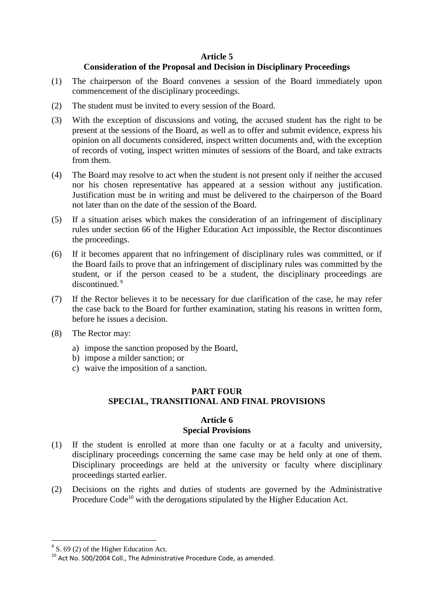#### **Article 5**

## **Consideration of the Proposal and Decision in Disciplinary Proceedings**

- (1) The chairperson of the Board convenes a session of the Board immediately upon commencement of the disciplinary proceedings.
- (2) The student must be invited to every session of the Board.
- (3) With the exception of discussions and voting, the accused student has the right to be present at the sessions of the Board, as well as to offer and submit evidence, express his opinion on all documents considered, inspect written documents and, with the exception of records of voting, inspect written minutes of sessions of the Board, and take extracts from them.
- (4) The Board may resolve to act when the student is not present only if neither the accused nor his chosen representative has appeared at a session without any justification. Justification must be in writing and must be delivered to the chairperson of the Board not later than on the date of the session of the Board.
- (5) If a situation arises which makes the consideration of an infringement of disciplinary rules under section 66 of the Higher Education Act impossible, the Rector discontinues the proceedings.
- (6) If it becomes apparent that no infringement of disciplinary rules was committed, or if the Board fails to prove that an infringement of disciplinary rules was committed by the student, or if the person ceased to be a student, the disciplinary proceedings are discontinued.<sup>9</sup>
- (7) If the Rector believes it to be necessary for due clarification of the case, he may refer the case back to the Board for further examination, stating his reasons in written form, before he issues a decision.
- (8) The Rector may:
	- a) impose the sanction proposed by the Board,
	- b) impose a milder sanction; or
	- c) waive the imposition of a sanction.

### **PART FOUR SPECIAL, TRANSITIONAL AND FINAL PROVISIONS**

#### **Article 6 Special Provisions**

- (1) If the student is enrolled at more than one faculty or at a faculty and university, disciplinary proceedings concerning the same case may be held only at one of them. Disciplinary proceedings are held at the university or faculty where disciplinary proceedings started earlier.
- (2) Decisions on the rights and duties of students are governed by the Administrative Procedure Code<sup>10</sup> with the derogations stipulated by the Higher Education Act.

<sup>&</sup>lt;sup>9</sup> S. 69 (2) of the Higher Education Act.

<sup>10</sup> Act No. 500/2004 Coll., The Administrative Procedure Code, as amended.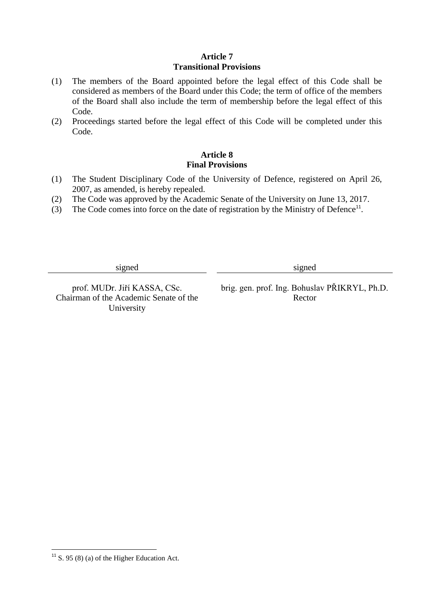# **Article 7 Transitional Provisions**

- (1) The members of the Board appointed before the legal effect of this Code shall be considered as members of the Board under this Code; the term of office of the members of the Board shall also include the term of membership before the legal effect of this Code.
- (2) Proceedings started before the legal effect of this Code will be completed under this Code.

# **Article 8 Final Provisions**

- (1) The Student Disciplinary Code of the University of Defence, registered on April 26, 2007, as amended, is hereby repealed.
- (2) The Code was approved by the Academic Senate of the University on June 13, 2017.
- (3) The Code comes into force on the date of registration by the Ministry of Defence<sup>11</sup>.

signed signed signed

Chairman of the Academic Senate of the University

prof. MUDr. Jiří KASSA, CSc. brig. gen. prof. Ing. Bohuslav PŘIKRYL, Ph.D. Rector

**<sup>.</sup>**  $11$  S. 95 (8) (a) of the Higher Education Act.